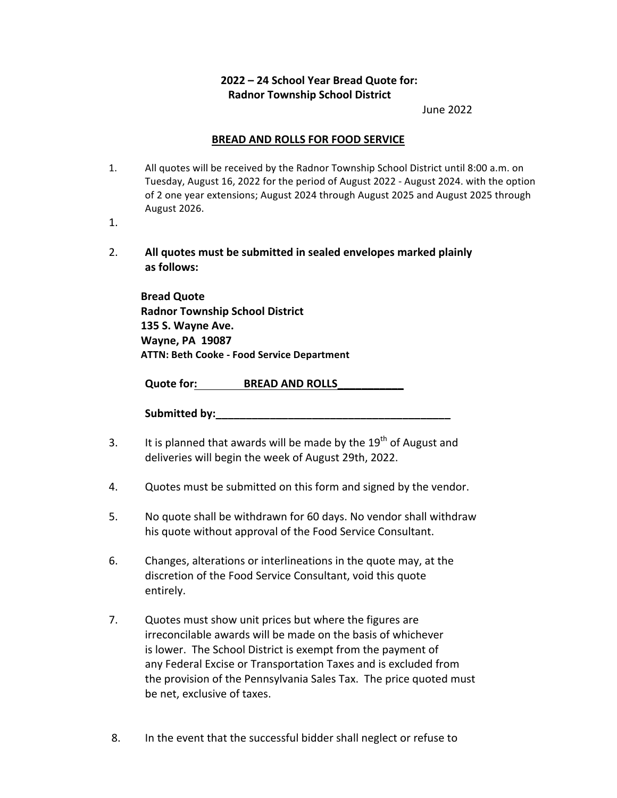## **2022 – 24 School Year Bread Quote for: Radnor Township School District**

 June 2022

### **BREAD AND ROLLS FOR FOOD SERVICE**

- 1. All quotes will be received by the Radnor Township School District until 8:00 a.m. on Tuesday, August 16, 2022 for the period of August 2022 - August 2024. with the option of 2 one year extensions; August 2024 through August 2025 and August 2025 through August 2026.
- 1.
- 2. **All quotes must be submitted in sealed envelopes marked plainly as follows:**

**Bread Quote Radnor Township School District 135 S. Wayne Ave. Wayne, PA 19087 ATTN: Beth Cooke - Food Service Department** 

**Quote for:** BREAD AND ROLLS

**Submitted by:** 

- 3. It is planned that awards will be made by the  $19<sup>th</sup>$  of August and deliveries will begin the week of August 29th, 2022.
- 4. Quotes must be submitted on this form and signed by the vendor.
- 5. No quote shall be withdrawn for 60 days. No vendor shall withdraw his quote without approval of the Food Service Consultant.
- 6. Changes, alterations or interlineations in the quote may, at the discretion of the Food Service Consultant, void this quote entirely.
- 7. Quotes must show unit prices but where the figures are irreconcilable awards will be made on the basis of whichever is lower. The School District is exempt from the payment of any Federal Excise or Transportation Taxes and is excluded from the provision of the Pennsylvania Sales Tax. The price quoted must be net, exclusive of taxes.
- 8. In the event that the successful bidder shall neglect or refuse to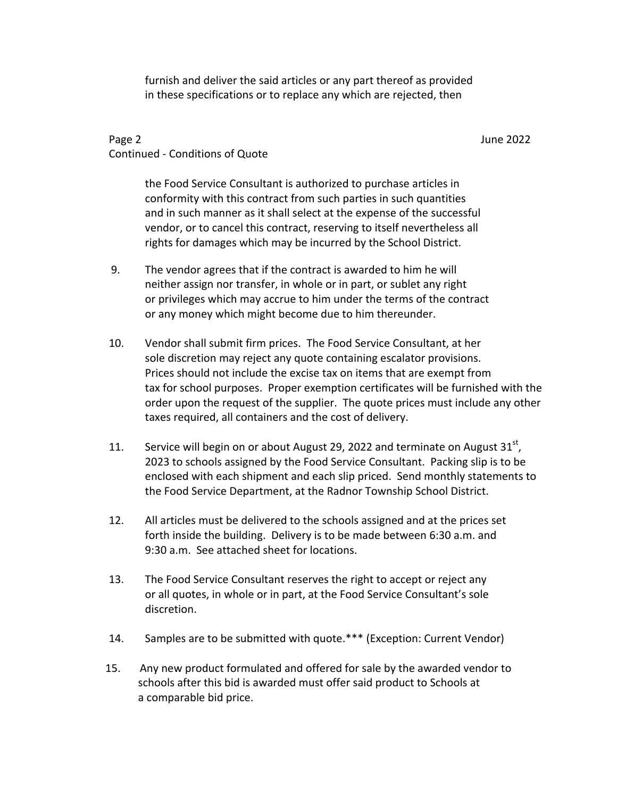furnish and deliver the said articles or any part thereof as provided in these specifications or to replace any which are rejected, then

### Page 2 Superintendent Contract Contract Contract Contract Contract Contract Contract Contract Contract Contract Contract Contract Contract Contract Contract Contract Contract Contract Contract Contract Contract Contract Co Continued - Conditions of Quote

the Food Service Consultant is authorized to purchase articles in conformity with this contract from such parties in such quantities and in such manner as it shall select at the expense of the successful vendor, or to cancel this contract, reserving to itself nevertheless all rights for damages which may be incurred by the School District.

- 9. The vendor agrees that if the contract is awarded to him he will neither assign nor transfer, in whole or in part, or sublet any right or privileges which may accrue to him under the terms of the contract or any money which might become due to him thereunder.
- 10. Vendor shall submit firm prices. The Food Service Consultant, at her sole discretion may reject any quote containing escalator provisions. Prices should not include the excise tax on items that are exempt from tax for school purposes. Proper exemption certificates will be furnished with the order upon the request of the supplier. The quote prices must include any other taxes required, all containers and the cost of delivery.
- 11. Service will begin on or about August 29, 2022 and terminate on August  $31^{st}$ , 2023 to schools assigned by the Food Service Consultant. Packing slip is to be enclosed with each shipment and each slip priced. Send monthly statements to the Food Service Department, at the Radnor Township School District.
- 12. All articles must be delivered to the schools assigned and at the prices set forth inside the building. Delivery is to be made between 6:30 a.m. and 9:30 a.m. See attached sheet for locations.
- 13. The Food Service Consultant reserves the right to accept or reject any or all quotes, in whole or in part, at the Food Service Consultant's sole discretion.
- 14. Samples are to be submitted with quote.\*\*\* (Exception: Current Vendor)
- 15. Any new product formulated and offered for sale by the awarded vendor to schools after this bid is awarded must offer said product to Schools at a comparable bid price.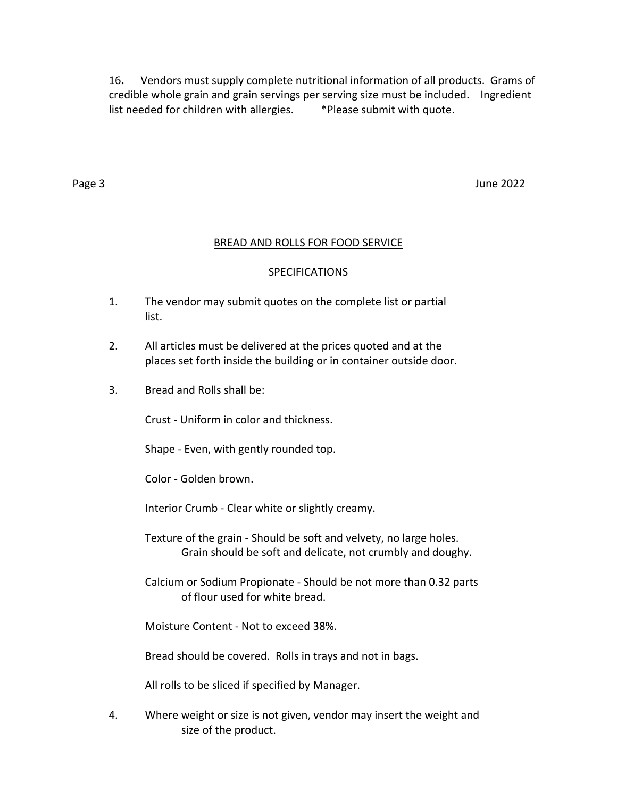16. Vendors must supply complete nutritional information of all products. Grams of credible whole grain and grain servings per serving size must be included. Ingredient list needed for children with allergies. \*Please submit with quote.

Page 3 June 2022

#### BREAD AND ROLLS FOR FOOD SERVICE

#### **SPECIFICATIONS**

- 1. The vendor may submit quotes on the complete list or partial list.
- 2. All articles must be delivered at the prices quoted and at the places set forth inside the building or in container outside door.
- 3. Bread and Rolls shall be:

Crust - Uniform in color and thickness.

Shape - Even, with gently rounded top.

Color - Golden brown.

Interior Crumb - Clear white or slightly creamy.

- Texture of the grain Should be soft and velvety, no large holes. Grain should be soft and delicate, not crumbly and doughy.
- Calcium or Sodium Propionate Should be not more than 0.32 parts of flour used for white bread.

Moisture Content - Not to exceed 38%.

Bread should be covered. Rolls in trays and not in bags.

All rolls to be sliced if specified by Manager.

4. Where weight or size is not given, vendor may insert the weight and size of the product.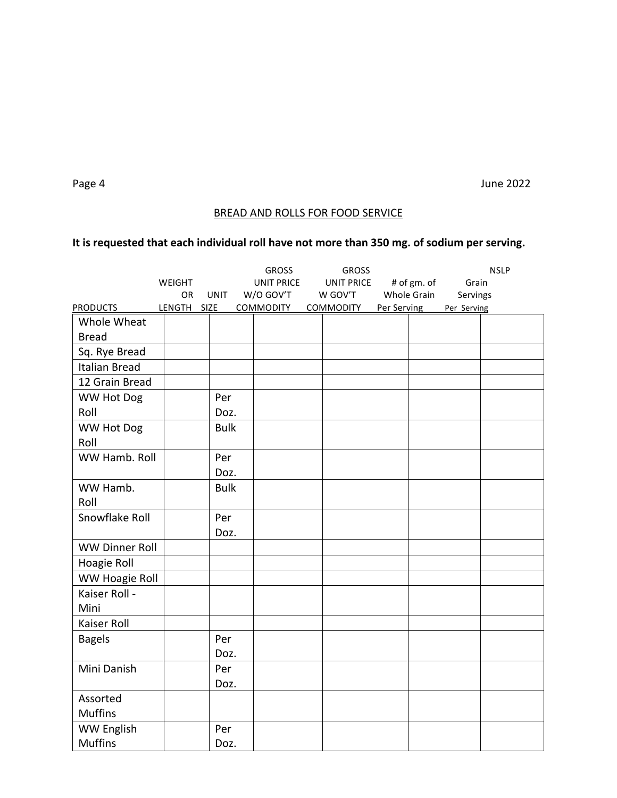Page 4 June 2022

# BREAD AND ROLLS FOR FOOD SERVICE

# It is requested that each individual roll have not more than 350 mg. of sodium per serving.

|                       |               |             | <b>GROSS</b>      | <b>GROSS</b>      |             |             |             | <b>NSLP</b> |
|-----------------------|---------------|-------------|-------------------|-------------------|-------------|-------------|-------------|-------------|
|                       | <b>WEIGHT</b> |             | <b>UNIT PRICE</b> | <b>UNIT PRICE</b> |             | # of gm. of | Grain       |             |
|                       | OR            | <b>UNIT</b> | W/O GOV'T         | W GOV'T           |             | Whole Grain | Servings    |             |
| <b>PRODUCTS</b>       | LENGTH        | <b>SIZE</b> | <b>COMMODITY</b>  | COMMODITY         | Per Serving |             | Per Serving |             |
| Whole Wheat           |               |             |                   |                   |             |             |             |             |
| <b>Bread</b>          |               |             |                   |                   |             |             |             |             |
| Sq. Rye Bread         |               |             |                   |                   |             |             |             |             |
| <b>Italian Bread</b>  |               |             |                   |                   |             |             |             |             |
| 12 Grain Bread        |               |             |                   |                   |             |             |             |             |
| WW Hot Dog            |               | Per         |                   |                   |             |             |             |             |
| Roll                  |               | Doz.        |                   |                   |             |             |             |             |
| <b>WW Hot Dog</b>     |               | <b>Bulk</b> |                   |                   |             |             |             |             |
| Roll                  |               |             |                   |                   |             |             |             |             |
| WW Hamb. Roll         |               | Per         |                   |                   |             |             |             |             |
|                       |               | Doz.        |                   |                   |             |             |             |             |
| WW Hamb.              |               | <b>Bulk</b> |                   |                   |             |             |             |             |
| Roll                  |               |             |                   |                   |             |             |             |             |
| Snowflake Roll        |               | Per         |                   |                   |             |             |             |             |
|                       |               | Doz.        |                   |                   |             |             |             |             |
| <b>WW Dinner Roll</b> |               |             |                   |                   |             |             |             |             |
| Hoagie Roll           |               |             |                   |                   |             |             |             |             |
| <b>WW Hoagie Roll</b> |               |             |                   |                   |             |             |             |             |
| Kaiser Roll -         |               |             |                   |                   |             |             |             |             |
| Mini                  |               |             |                   |                   |             |             |             |             |
| Kaiser Roll           |               |             |                   |                   |             |             |             |             |
| <b>Bagels</b>         |               | Per         |                   |                   |             |             |             |             |
|                       |               | Doz.        |                   |                   |             |             |             |             |
| Mini Danish           |               | Per         |                   |                   |             |             |             |             |
|                       |               | Doz.        |                   |                   |             |             |             |             |
| Assorted              |               |             |                   |                   |             |             |             |             |
| <b>Muffins</b>        |               |             |                   |                   |             |             |             |             |
| <b>WW English</b>     |               | Per         |                   |                   |             |             |             |             |
|                       |               |             |                   |                   |             |             |             |             |
| <b>Muffins</b>        |               | Doz.        |                   |                   |             |             |             |             |